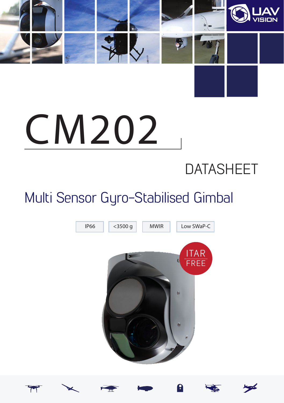# CM202

# DATASHEET

# Multi Sensor Gyro-Stabilised Gimbal